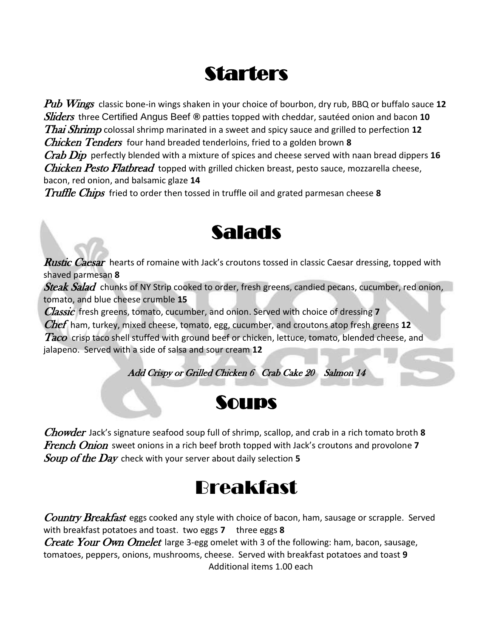# **Starters**

Pub Wings classic bone-in wings shaken in your choice of bourbon, dry rub, BBQ or buffalo sauce **12** Sliders three Certified Angus Beef **®** patties topped with cheddar, sautéed onion and bacon **10** Thai Shrimp colossal shrimp marinated in a sweet and spicy sauce and grilled to perfection **12** Chicken Tenders four hand breaded tenderloins, fried to a golden brown **8** Crab Dip perfectly blended with a mixture of spices and cheese served with naan bread dippers **16**

*Chicken Pesto Flatbread* topped with grilled chicken breast, pesto sauce, mozzarella cheese, bacon, red onion, and balsamic glaze **14**

Truffle Chips fried to order then tossed in truffle oil and grated parmesan cheese **8**



**Rustic Caesar** hearts of romaine with Jack's croutons tossed in classic Caesar dressing, topped with shaved parmesan **8**

Steak Salad chunks of NY Strip cooked to order, fresh greens, candied pecans, cucumber, red onion, tomato, and blue cheese crumble **15**

Classic fresh greens, tomato, cucumber, and onion. Served with choice of dressing **7**

Chef ham, turkey, mixed cheese, tomato, egg, cucumber, and croutons atop fresh greens **12**

Taco crisp taco shell stuffed with ground beef or chicken, lettuce, tomato, blended cheese, and jalapeno. Served with a side of salsa and sour cream **12**

Add Crispy or Grilled Chicken 6 Crab Cake 20 Salmon 14



Chowder Jack's signature seafood soup full of shrimp, scallop, and crab in a rich tomato broth **8** French Onion sweet onions in a rich beef broth topped with Jack's croutons and provolone **7** Soup of the Day check with your server about daily selection **5**

## Breakfast

**Country Breakfast** eggs cooked any style with choice of bacon, ham, sausage or scrapple. Served with breakfast potatoes and toast. two eggs **7** three eggs **8** *Create Your Own Omelet* large 3-egg omelet with 3 of the following: ham, bacon, sausage, tomatoes, peppers, onions, mushrooms, cheese. Served with breakfast potatoes and toast **9** Additional items 1.00 each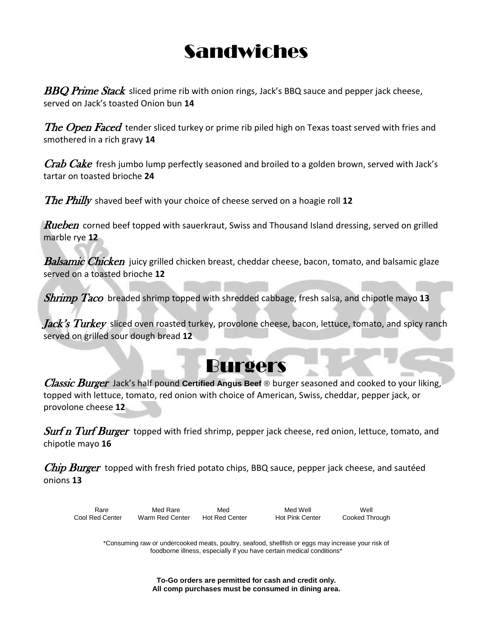# Sandwiches

**BBQ Prime Stack** sliced prime rib with onion rings, Jack's BBQ sauce and pepper jack cheese, served on Jack's toasted Onion bun **14**

The Open Faced tender sliced turkey or prime rib piled high on Texas toast served with fries and smothered in a rich gravy **14**

 $Crab$  Cake fresh jumbo lump perfectly seasoned and broiled to a golden brown, served with Jack's tartar on toasted brioche **24**

The Philly shaved beef with your choice of cheese served on a hoagie roll **12**

**Rueben** corned beef topped with sauerkraut, Swiss and Thousand Island dressing, served on grilled marble rye **12**

**Balsamic Chicken** juicy grilled chicken breast, cheddar cheese, bacon, tomato, and balsamic glaze served on a toasted brioche **12**

Shrimp Taco breaded shrimp topped with shredded cabbage, fresh salsa, and chipotle mayo **13**

*Jack's Turkey* sliced oven roasted turkey, provolone cheese, bacon, lettuce, tomato, and spicy ranch served on grilled sour dough bread **12**

## Burgers

Classic Burger Jack's half pound **Certified Angus Beef** ® burger seasoned and cooked to your liking, topped with lettuce, tomato, red onion with choice of American, Swiss, cheddar, pepper jack, or provolone cheese **12**

**Surf n Turf Burger** topped with fried shrimp, pepper jack cheese, red onion, lettuce, tomato, and chipotle mayo **16**

*Chip Burger* topped with fresh fried potato chips, BBQ sauce, pepper jack cheese, and sautéed onions **13**

Rare Med Rare Med Med Med Well Med Well Nell Cool Red Center Warm Red Center Hot Red Center Hot Pink Center Cooked Through

\*Consuming raw or undercooked meats, poultry, seafood, shellfish or eggs may increase your risk of foodborne illness, especially if you have certain medical conditions\*

> **To-Go orders are permitted for cash and credit only. All comp purchases must be consumed in dining area.**